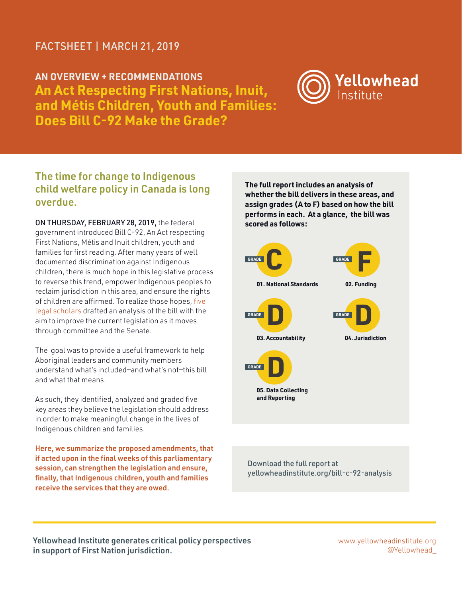#### FACTSHEET | MARCH 21, 2019

**AN OVERVIEW + RECOMMENDATIONS An Act Respecting First Nations, Inuit, and Métis Children, Youth and Families: Does Bill C-92 Make the Grade?** 



#### The time for change to Indigenous child welfare policy in Canada is long overdue.

ON THURSDAY, FEBRUARY 28, 2019, the federal government introduced Bill C-92, An Act respecting First Nations, Métis and Inuit children, youth and families for first reading. After many years of well documented discrimination against Indigenous children, there is much hope in this legislative process to reverse this trend, empower Indigenous peoples to reclaim jurisdiction in this area, and ensure the rights of children are affirmed. To realize those hopes, [five](https://yellowheadinstitute.org/bill-c-92-analysis/#authors)  [legal scholars](https://yellowheadinstitute.org/bill-c-92-analysis/#authors) drafted an analysis of the bill with the aim to improve the current legislation as it moves through committee and the Senate.

The goal was to provide a useful framework to help Aboriginal leaders and community members understand what's included—and what's not—this bill and what that means.

As such, they identified, analyzed and graded five key areas they believe the legislation should address in order to make meaningful change in the lives of Indigenous children and families.

Here, we summarize the proposed amendments, that if acted upon in the final weeks of this parliamentary session, can strengthen the legislation and ensure, finally, that Indigenous children, youth and families receive the services that they are owed.

**The full report includes an analysis of whether the bill delivers in these areas, and assign grades (A to F) based on how the bill performs in each. At a glance, the bill was scored as follows:**



[Download the full report at](http://yellowheadinstitute.org/bill-c-92-analysis)  [yellowheadinstitute.org/bill-c-92-analysis](http://yellowheadinstitute.org/bill-c-92-analysis)

Yellowhead Institute generates critical policy perspectives in support of First Nation jurisdiction.

www.yellowheadinstitute.org @Yellowhead